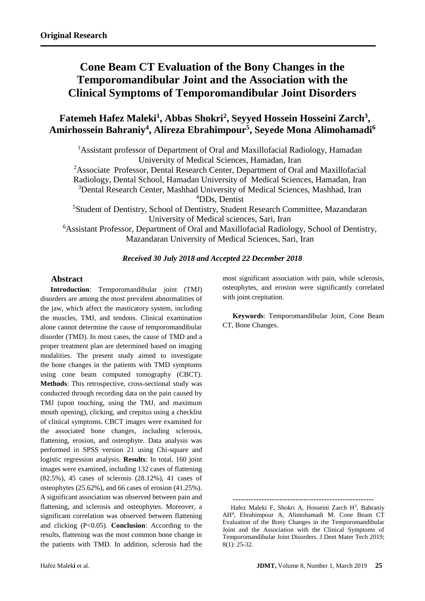# **Cone Beam CT Evaluation of the Bony Changes in the Temporomandibular Joint and the Association with the Clinical Symptoms of Temporomandibular Joint Disorders**

## Fatemeh Hafez Maleki<sup>1</sup>, Abbas Shokri<sup>2</sup>, Seyyed Hossein Hosseini Zarch<sup>3</sup>, **Amirhossein Bahraniy<sup>4</sup> , Alireza Ebrahimpour<sup>5</sup> , Seyede Mona Alimohamadi<sup>6</sup>**

<sup>1</sup>Assistant professor of Department of Oral and Maxillofacial Radiology, Hamadan University of Medical Sciences, Hamadan, Iran

<sup>2</sup>Associate Professor, Dental Research Center, Department of Oral and Maxillofacial

Radiology, Dental School, Hamadan University of Medical Sciences, Hamadan, Iran

<sup>3</sup>Dental Research Center, Mashhad University of Medical Sciences, Mashhad, Iran <sup>4</sup>DDs, Dentist

<sup>5</sup>Student of Dentistry, School of Dentistry, Student Research Committee, Mazandaran University of Medical sciences, Sari, Iran

<sup>6</sup>Assistant Professor, Department of Oral and Maxillofacial Radiology, School of Dentistry, Mazandaran University of Medical Sciences, Sari, Iran

## *Received 30 July 2018 and Accepted 22 December 2018*

## **Abstract**

**Introduction**: Temporomandibular joint (TMJ) disorders are among the most prevalent abnormalities of the jaw, which affect the masticatory system, including the muscles, TMJ, and tendons. Clinical examination alone cannot determine the cause of temporomandibular disorder (TMD). In most cases, the cause of TMD and a proper treatment plan are determined based on imaging modalities. The present study aimed to investigate the bone changes in the patients with TMD symptoms using cone beam computed tomography (CBCT). **Methods**: This retrospective, cross-sectional study was conducted through recording data on the pain caused by TMJ (upon touching, using the TMJ, and maximum mouth opening), clicking, and crepitus using a checklist of clinical symptoms. CBCT images were examined for the associated bone changes, including sclerosis, flattening, erosion, and osteophyte. Data analysis was performed in SPSS version 21 using Chi-square and logistic regression analysis. **Results**: In total, 160 joint images were examined, including 132 cases of flattening (82.5%), 45 cases of sclerosis (28.12%), 41 cases of osteophytes (25.62%), and 66 cases of erosion (41.25%). A significant association was observed between pain and flattening, and sclerosis and osteophytes. Moreover, a significant correlation was observed between flattening and clicking (P<0.05). **Conclusion**: According to the results, flattening was the most common bone change in the patients with TMD. In addition, sclerosis had the

most significant association with pain, while sclerosis, osteophytes, and erosion were significantly correlated with joint crepitation.

**Keywords**: Temporomandibular Joint, Cone Beam CT, Bone Changes.

------------------------------------------------------ Hafez Maleki F, Shokri A, Hosseini Zarch H<sup>3</sup>, Bahraniy AH<sup>4</sup> , Ebrahimpour A, Alimohamadi M. Cone Beam CT Evaluation of the Bony Changes in the Temporomandibular Joint and the Association with the Clinical Symptoms of Temporomandibular Joint Disorders. J Dent Mater Tech 2019; 8(1): 25-32.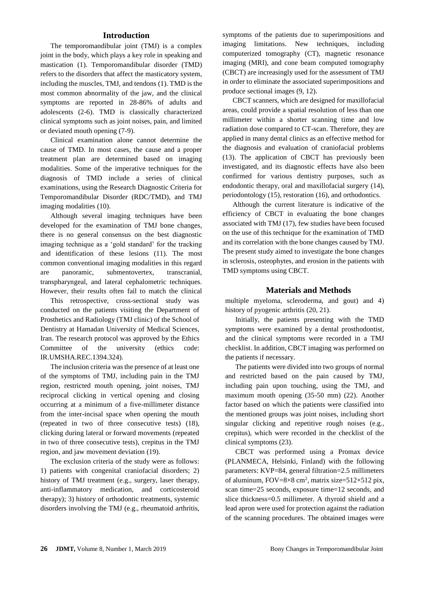#### **Introduction**

The temporomandibular joint (TMJ) is a complex joint in the body, which plays a key role in speaking and mastication [\(1\)](file:///C:/Users/fouladif1/Desktop/اصلاح%20شده%203%20آذر%20%20.docx%23_ENREF_1). Temporomandibular disorder (TMD) refers to the disorders that affect the masticatory system, including the muscles, TMJ, and tendons [\(1\)](file:///C:/Users/fouladif1/Desktop/اصلاح%20شده%203%20آذر%20%20.docx%23_ENREF_1). TMD is the most common abnormality of the jaw, and the clinical symptoms are reported in 28-86% of adults and adolescents [\(2-6\)](file:///C:/Users/fouladif1/Desktop/اصلاح%20شده%203%20آذر%20%20.docx%23_ENREF_2). TMD is classically characterized clinical symptoms such as joint noises, pain, and limited or deviated mouth opening [\(7-9\)](file:///C:/Users/fouladif1/Desktop/اصلاح%20شده%203%20آذر%20%20.docx%23_ENREF_7).

Clinical examination alone cannot determine the cause of TMD. In most cases, the cause and a proper treatment plan are determined based on imaging modalities. Some of the imperative techniques for the diagnosis of TMD include a series of clinical examinations, using the Research Diagnostic Criteria for Temporomandibular Disorder (RDC/TMD), and TMJ imaging modalities [\(10\)](file:///C:/Users/fouladif1/Desktop/اصلاح%20شده%203%20آذر%20%20.docx%23_ENREF_10).

Although several imaging techniques have been developed for the examination of TMJ bone changes, there is no general consensus on the best diagnostic imaging technique as a 'gold standard' for the tracking and identification of these lesions [\(11\)](file:///C:/Users/fouladif1/Desktop/اصلاح%20شده%203%20آذر%20%20.docx%23_ENREF_11). The most common conventional imaging modalities in this regard are panoramic, submentovertex, transcranial, transpharyngeal, and lateral cephalometric techniques. However, their results often fail to match the clinical

This retrospective, cross-sectional study was conducted on the patients visiting the Department of Prosthetics and Radiology (TMJ clinic) of the School of Dentistry at Hamadan University of Medical Sciences, Iran. The research protocol was approved by the Ethics Committee of the university (ethics code: IR.UMSHA.REC.1394.324).

The inclusion criteria was the presence of at least one of the symptoms of TMJ, including pain in the TMJ region, restricted mouth opening, joint noises, TMJ reciprocal clicking in vertical opening and closing occurring at a minimum of a five-millimeter distance from the inter-incisal space when opening the mouth (repeated in two of three consecutive tests) [\(18\)](file:///C:/Users/fouladif1/Desktop/اصلاح%20شده%203%20آذر%20%20.docx%23_ENREF_18), clicking during lateral or forward movements (repeated in two of three consecutive tests), crepitus in the TMJ region, and jaw movement deviation [\(19\)](file:///C:/Users/fouladif1/Desktop/اصلاح%20شده%203%20آذر%20%20.docx%23_ENREF_19).

The exclusion criteria of the study were as follows: 1) patients with congenital craniofacial disorders; 2) history of TMJ treatment (e.g., surgery, laser therapy, anti-inflammatory medication, and corticosteroid therapy); 3) history of orthodontic treatments, systemic disorders involving the TMJ (e.g., rheumatoid arthritis, symptoms of the patients due to superimpositions and imaging limitations. New techniques, including computerized tomography (CT), magnetic resonance imaging (MRI), and cone beam computed tomography (CBCT) are increasingly used for the assessment of TMJ in order to eliminate the associated superimpositions and produce sectional images [\(9,](file:///C:/Users/fouladif1/Desktop/اصلاح%20شده%203%20آذر%20%20.docx%23_ENREF_9) [12\)](file:///C:/Users/fouladif1/Desktop/اصلاح%20شده%203%20آذر%20%20.docx%23_ENREF_12).

CBCT scanners, which are designed for maxillofacial areas, could provide a spatial resolution of less than one millimeter within a shorter scanning time and low radiation dose compared to CT-scan. Therefore, they are applied in many dental clinics as an effective method for the diagnosis and evaluation of craniofacial problems [\(13\)](file:///C:/Users/fouladif1/Desktop/اصلاح%20شده%203%20آذر%20%20.docx%23_ENREF_13). The application of CBCT has previously been investigated, and its diagnostic effects have also been confirmed for various dentistry purposes, such as endodontic therapy, oral and maxillofacial surgery [\(14\)](file:///C:/Users/fouladif1/Desktop/اصلاح%20شده%203%20آذر%20%20.docx%23_ENREF_14), periodontology [\(15\)](file:///C:/Users/fouladif1/Desktop/اصلاح%20شده%203%20آذر%20%20.docx%23_ENREF_15), restoration [\(16\)](file:///C:/Users/fouladif1/Desktop/اصلاح%20شده%203%20آذر%20%20.docx%23_ENREF_16), and orthodontics.

Although the current literature is indicative of the efficiency of CBCT in evaluating the bone changes associated with TMJ [\(17\)](file:///C:/Users/fouladif1/Desktop/اصلاح%20شده%203%20آذر%20%20.docx%23_ENREF_17), few studies have been focused on the use of this technique for the examination of TMD and its correlation with the bone changes caused by TMJ. The present study aimed to investigate the bone changes in sclerosis, osteophytes, and erosion in the patients with TMD symptoms using CBCT.

#### **Materials and Methods**

multiple myeloma, scleroderma, and gout) and 4) history of pyogenic arthritis [\(20,](file:///C:/Users/fouladif1/Desktop/اصلاح%20شده%203%20آذر%20%20.docx%23_ENREF_20) [21\)](file:///C:/Users/fouladif1/Desktop/اصلاح%20شده%203%20آذر%20%20.docx%23_ENREF_21).

Initially, the patients presenting with the TMD symptoms were examined by a dental prosthodontist, and the clinical symptoms were recorded in a TMJ checklist. In addition, CBCT imaging was performed on the patients if necessary.

The patients were divided into two groups of normal and restricted based on the pain caused by TMJ, including pain upon touching, using the TMJ, and maximum mouth opening (35-50 mm) [\(22\)](file:///C:/Users/fouladif1/Desktop/اصلاح%20شده%203%20آذر%20%20.docx%23_ENREF_22). Another factor based on which the patients were classified into the mentioned groups was joint noises, including short singular clicking and repetitive rough noises (e.g., crepitus), which were recorded in the checklist of the clinical symptoms [\(23\)](file:///C:/Users/fouladif1/Desktop/اصلاح%20شده%203%20آذر%20%20.docx%23_ENREF_23).

CBCT was performed using a Promax device (PLANMECA, Helsinki, Finland) with the following parameters: KVP=84, general filtration=2.5 millimeters of aluminum,  $FOV = 8 \times 8$  cm<sup>2</sup>, matrix size= $512 \times 512$  pix, scan time=25 seconds, exposure time=12 seconds, and slice thickness=0.5 millimeter. A thyroid shield and a lead apron were used for protection against the radiation of the scanning procedures. The obtained images were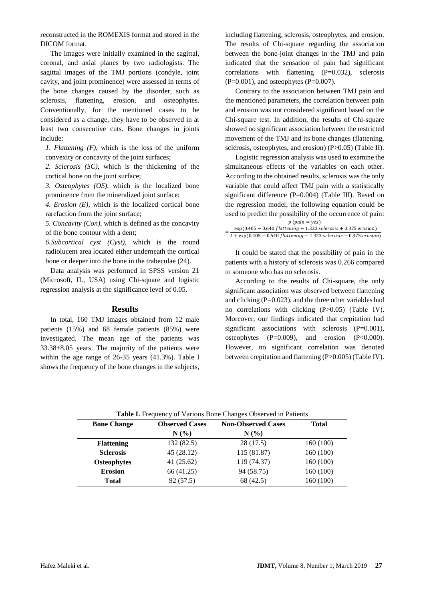reconstructed in the ROMEXIS format and stored in the DICOM format.

The images were initially examined in the sagittal, coronal, and axial planes by two radiologists. The sagittal images of the TMJ portions (condyle, joint cavity, and joint prominence) were assessed in terms of the bone changes caused by the disorder, such as sclerosis, flattening, erosion, and osteophytes. Conventionally, for the mentioned cases to be considered as a change, they have to be observed in at least two consecutive cuts. Bone changes in joints include:

*1. Flattening (F)*, which is the loss of the uniform convexity or concavity of the joint surfaces;

*2. Sclerosis (SC)*, which is the thickening of the cortical bone on the joint surface;

*3. Osteophytes (OS)*, which is the localized bone prominence from the mineralized joint surface;

*4. Erosion (E)*, which is the localized cortical bone rarefaction from the joint surface;

*5. Concavity (Con)*, which is defined as the concavity of the bone contour with a dent;

*6.Subcortical cyst (Cyst)*, which is the round radiolucent area located either underneath the cortical bone or deeper into the bone in the trabeculae [\(24\)](file:///C:/Users/fouladif1/Desktop/اصلاح%20شده%203%20آذر%20%20.docx%23_ENREF_24).

Data analysis was performed in SPSS version 21 (Microsoft, IL, USA) using Chi-square and logistic regression analysis at the significance level of 0.05.

#### **Results**

In total, 160 TMJ images obtained from 12 male patients (15%) and 68 female patients (85%) were investigated. The mean age of the patients was  $33.38\pm8.05$  years. The majority of the patients were within the age range of 26-35 years (41.3%). Table I shows the frequency of the bone changes in the subjects,

including flattening, sclerosis, osteophytes, and erosion. The results of Chi-square regarding the association between the bone-joint changes in the TMJ and pain indicated that the sensation of pain had significant correlations with flattening (P=0.032), sclerosis  $(P=0.001)$ , and osteophytes  $(P=0.007)$ .

Contrary to the association between TMJ pain and the mentioned parameters, the correlation between pain and erosion was not considered significant based on the Chi-square test. In addition, the results of Chi-square showed no significant association between the restricted movement of the TMJ and its bone changes (flattening, sclerosis, osteophytes, and erosion) (P>0.05) (Table II).

Logistic regression analysis was used to examine the simultaneous effects of the variables on each other. According to the obtained results, sclerosis was the only variable that could affect TMJ pain with a statistically significant difference (P=0.004) (Table III). Based on the regression model, the following equation could be used to predict the possibility of the occurrence of pain:

| $p$ (pain = yes)                                                                                 |
|--------------------------------------------------------------------------------------------------|
| $\exp(0.405 - 0.640 \; \text{flattening} - 1.323 \; \text{sclerosis} + 0.375 \; \text{erosion})$ |
| $1 + \exp(0.405 - 0.640 \; f$ lattening $- 1.323 \;$ sclerosis $+ 0.375 \;$ erosion)             |

It could be stated that the possibility of pain in the patients with a history of sclerosis was 0.266 compared to someone who has no sclerosis.

According to the results of Chi-square, the only significant association was observed between flattening and clicking (P=0.023), and the three other variables had no correlations with clicking (P>0.05) (Table IV). Moreover, our findings indicated that crepitation had significant associations with sclerosis (P=0.001), osteophytes (P=0.009), and erosion (P<0.000). However, no significant correlation was denoted between crepitation and flattening (P>0.005) (Table IV).

| <b>Table I.</b> Frequency of Various Bone Changes Observed in Patients |                       |                           |              |  |  |  |  |  |
|------------------------------------------------------------------------|-----------------------|---------------------------|--------------|--|--|--|--|--|
| <b>Bone Change</b>                                                     | <b>Observed Cases</b> | <b>Non-Observed Cases</b> | <b>Total</b> |  |  |  |  |  |
|                                                                        | N(%                   | N(%                       |              |  |  |  |  |  |
| <b>Flattening</b>                                                      | 132(82.5)             | 28 (17.5)                 | 160(100)     |  |  |  |  |  |
| <b>Sclerosis</b>                                                       | 45(28.12)             | 115 (81.87)               | 160(100)     |  |  |  |  |  |
| <b>Osteophytes</b>                                                     | 41(25.62)             | 119 (74.37)               | 160 (100)    |  |  |  |  |  |
| <b>Erosion</b>                                                         | 66 (41.25)            | 94 (58.75)                | 160(100)     |  |  |  |  |  |
| <b>Total</b>                                                           | 92(57.5)              | 68 (42.5)                 | 160 (100)    |  |  |  |  |  |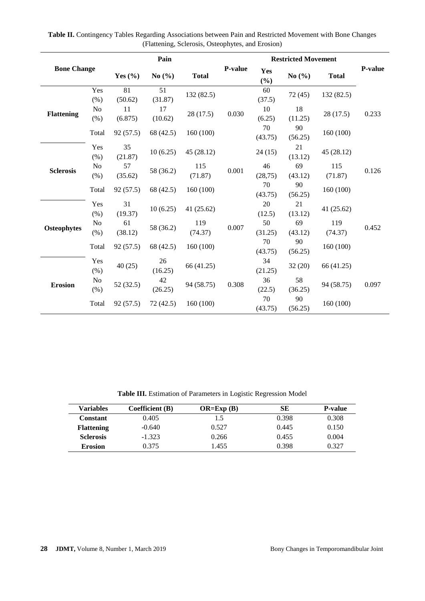| <b>Bone Change</b> |                        | Pain          |               |                |         | <b>Restricted Movement</b> |               |                |         |
|--------------------|------------------------|---------------|---------------|----------------|---------|----------------------------|---------------|----------------|---------|
|                    |                        | Yes $(\% )$   | No $(\% )$    | <b>Total</b>   | P-value | Yes<br>$(\%)$              | No $(\% )$    | <b>Total</b>   | P-value |
|                    | Yes<br>(% )            | 81<br>(50.62) | 51<br>(31.87) | 132 (82.5)     | 0.030   | 60<br>(37.5)               | 72(45)        | 132 (82.5)     | 0.233   |
| <b>Flattening</b>  | N <sub>o</sub><br>(% ) | 11<br>(6.875) | 17<br>(10.62) | 28 (17.5)      |         | 10<br>(6.25)               | 18<br>(11.25) | 28(17.5)       |         |
|                    | Total                  | 92(57.5)      | 68 (42.5)     | 160(100)       |         | 70<br>(43.75)              | 90<br>(56.25) | 160(100)       |         |
|                    | Yes<br>(% )            | 35<br>(21.87) | 10(6.25)      | 45 (28.12)     | 0.001   | 24(15)                     | 21<br>(13.12) | 45 (28.12)     | 0.126   |
| <b>Sclerosis</b>   | N <sub>o</sub><br>(%)  | 57<br>(35.62) | 58 (36.2)     | 115<br>(71.87) |         | 46<br>(28, 75)             | 69<br>(43.12) | 115<br>(71.87) |         |
|                    | Total                  | 92(57.5)      | 68 (42.5)     | 160(100)       |         | 70<br>(43.75)              | 90<br>(56.25) | 160 (100)      |         |
|                    | Yes<br>(% )            | 31<br>(19.37) | 10(6.25)      | 41 $(25.62)$   | 0.007   | 20<br>(12.5)               | 21<br>(13.12) | 41 (25.62)     | 0.452   |
| <b>Osteophytes</b> | N <sub>o</sub><br>(% ) | 61<br>(38.12) | 58 (36.2)     | 119<br>(74.37) |         | 50<br>(31.25)              | 69<br>(43.12) | 119<br>(74.37) |         |
|                    | Total                  | 92(57.5)      | 68 (42.5)     | 160 (100)      |         | 70<br>(43.75)              | 90<br>(56.25) | 160 (100)      |         |
|                    | Yes<br>(% )            | 40(25)        | 26<br>(16.25) | 66 (41.25)     | 0.308   | 34<br>(21.25)              | 32(20)        | 66 (41.25)     |         |
| <b>Erosion</b>     | N <sub>o</sub><br>(% ) | 52(32.5)      | 42<br>(26.25) | 94 (58.75)     |         | 36<br>(22.5)               | 58<br>(36.25) | 94 (58.75)     | 0.097   |
|                    | Total                  | 92 (57.5)     | 72 (42.5)     | 160(100)       |         | 70<br>(43.75)              | 90<br>(56.25) | 160(100)       |         |

**Table II.** Contingency Tables Regarding Associations between Pain and Restricted Movement with Bone Changes (Flattening, Sclerosis, Osteophytes, and Erosion)

**Table III.** Estimation of Parameters in Logistic Regression Model

| <b>Variables</b>  | Coefficient (B) | $OR=Exp(B)$ | SЕ    | <b>P-value</b> |
|-------------------|-----------------|-------------|-------|----------------|
| Constant          | 0.405           | 1.5         | 0.398 | 0.308          |
| <b>Flattening</b> | $-0.640$        | 0.527       | 0.445 | 0.150          |
| <b>Sclerosis</b>  | $-1.323$        | 0.266       | 0.455 | 0.004          |
| <b>Erosion</b>    | 0.375           | 1.455       | 0.398 | 0.327          |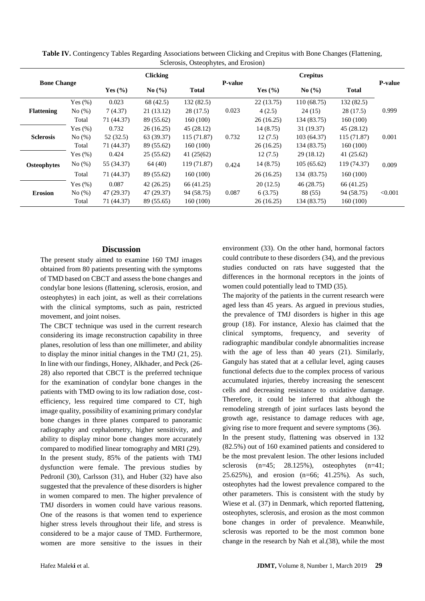|                    |            | <b>Clicking</b> |                                          |               |                | <b>Crepitus</b> |             |              |                |
|--------------------|------------|-----------------|------------------------------------------|---------------|----------------|-----------------|-------------|--------------|----------------|
| <b>Bone Change</b> |            | Yes $(\% )$     | $\mathrm{No} \left( \frac{9}{6} \right)$ | <b>Total</b>  | <b>P-value</b> | Yes $(\% )$     | No(%)       | <b>Total</b> | <b>P-value</b> |
|                    | Yes $(\%)$ | 0.023           | 68 (42.5)                                | 132 (82.5)    | 0.023          | 22(13.75)       | 110(68.75)  | 132(82.5)    | 0.999          |
| <b>Flattening</b>  | No $(\%)$  | 7(4.37)         | 21 (13.12)                               | 28 (17.5)     |                | 4(2.5)          | 24(15)      | 28 (17.5)    |                |
|                    | Total      | 71 (44.37)      | 89 (55.62)                               | 160(100)      |                | 26(16.25)       | 134 (83.75) | 160(100)     |                |
|                    | Yes $(\%)$ | 0.732           | 26(16.25)                                | 45 (28.12)    |                | 14 (8.75)       | 31 (19.37)  | 45 (28.12)   | 0.001          |
| <b>Sclerosis</b>   | No $(\%)$  | 52(32.5)        | 63 (39.37)                               | 115 (71.87)   | 0.732          | 12(7.5)         | 103 (64.37) | 115 (71.87)  |                |
|                    | Total      | 71 (44.37)      | 89 (55.62)                               | 160(100)      |                | 26(16.25)       | 134 (83.75) | 160(100)     |                |
|                    | Yes $(\%)$ | 0.424           | 25 (55.62)                               | 41 $(25(62))$ |                | 12(7.5)         | 29(18.12)   | 41 (25.62)   |                |
| <b>Osteophytes</b> | No $(\%)$  | 55 (34.37)      | 64(40)                                   | 119 (71.87)   | 0.424          | 14(8.75)        | 105(65.62)  | 119 (74.37)  | 0.009          |
|                    | Total      | 71 (44.37)      | 89 (55.62)                               | 160(100)      |                | 26(16.25)       | 134 (83.75) | 160(100)     |                |
|                    | Yes $(\%)$ | 0.087           | 42(26.25)                                | 66 (41.25)    |                | 20(12.5)        | 46 (28.75)  | 66 (41.25)   |                |
| <b>Erosion</b>     | No $(\%)$  | 47 (29.37)      | 47 (29.37)                               | 94 (58.75)    | 0.087          | 6(3.75)         | 88 (55)     | 94 (58.75)   | < 0.001        |
|                    | Total      | 71 (44.37)      | 89 (55.65)                               | 160(100)      |                | 26(16.25)       | 134 (83.75) | 160(100)     |                |

**Table IV.** Contingency Tables Regarding Associations between Clicking and Crepitus with Bone Changes (Flattening, Sclerosis, Osteophytes, and Erosion)

## **Discussion**

The present study aimed to examine 160 TMJ images obtained from 80 patients presenting with the symptoms of TMD based on CBCT and assess the bone changes and condylar bone lesions (flattening, sclerosis, erosion, and osteophytes) in each joint, as well as their correlations with the clinical symptoms, such as pain, restricted movement, and joint noises.

The CBCT technique was used in the current research considering its image reconstruction capability in three planes, resolution of less than one millimeter, and ability to display the minor initial changes in the TMJ [\(21,](file:///C:/Users/fouladif1/Desktop/اصلاح%20شده%203%20آذر%20%20.docx%23_ENREF_21) [25\)](file:///C:/Users/fouladif1/Desktop/اصلاح%20شده%203%20آذر%20%20.docx%23_ENREF_25). In line with our findings, Honey, Alkhader, and Peck [\(26-](file:///C:/Users/fouladif1/Desktop/اصلاح%20شده%203%20آذر%20%20.docx%23_ENREF_26) [28\)](file:///C:/Users/fouladif1/Desktop/اصلاح%20شده%203%20آذر%20%20.docx%23_ENREF_26) also reported that CBCT is the preferred technique for the examination of condylar bone changes in the patients with TMD owing to its low radiation dose, costefficiency, less required time compared to CT, high image quality, possibility of examining primary condylar bone changes in three planes compared to panoramic radiography and cephalometry, higher sensitivity, and ability to display minor bone changes more accurately compared to modified linear tomography and MRI [\(29\)](file:///C:/Users/fouladif1/Desktop/اصلاح%20شده%203%20آذر%20%20.docx%23_ENREF_29). In the present study, 85% of the patients with TMJ dysfunction were female. The previous studies by Pedronil [\(30\)](file:///C:/Users/fouladif1/Desktop/اصلاح%20شده%203%20آذر%20%20.docx%23_ENREF_30), Carlsson [\(31\)](file:///C:/Users/fouladif1/Desktop/اصلاح%20شده%203%20آذر%20%20.docx%23_ENREF_31), and Huber [\(32\)](file:///C:/Users/fouladif1/Desktop/اصلاح%20شده%203%20آذر%20%20.docx%23_ENREF_32) have also suggested that the prevalence of these disorders is higher in women compared to men. The higher prevalence of TMJ disorders in women could have various reasons. One of the reasons is that women tend to experience higher stress levels throughout their life, and stress is considered to be a major cause of TMD. Furthermore, women are more sensitive to the issues in their

environment [\(33\)](file:///C:/Users/fouladif1/Desktop/اصلاح%20شده%203%20آذر%20%20.docx%23_ENREF_33). On the other hand, hormonal factors could contribute to these disorders [\(34\)](file:///C:/Users/fouladif1/Desktop/اصلاح%20شده%203%20آذر%20%20.docx%23_ENREF_34), and the previous studies conducted on rats have suggested that the differences in the hormonal receptors in the joints of women could potentially lead to TMD [\(35\)](file:///C:/Users/fouladif1/Desktop/اصلاح%20شده%203%20آذر%20%20.docx%23_ENREF_35).

The majority of the patients in the current research were aged less than 45 years. As argued in previous studies, the prevalence of TMJ disorders is higher in this age group [\(18\)](file:///C:/Users/fouladif1/Desktop/اصلاح%20شده%203%20آذر%20%20.docx%23_ENREF_18). For instance, Alexio has claimed that the clinical symptoms, frequency, and severity of radiographic mandibular condyle abnormalities increase with the age of less than 40 years [\(21\)](file:///C:/Users/fouladif1/Desktop/اصلاح%20شده%203%20آذر%20%20.docx%23_ENREF_21). Similarly, Ganguly has stated that at a cellular level, aging causes functional defects due to the complex process of various accumulated injuries, thereby increasing the senescent cells and decreasing resistance to oxidative damage. Therefore, it could be inferred that although the remodeling strength of joint surfaces lasts beyond the growth age, resistance to damage reduces with age, giving rise to more frequent and severe symptoms [\(36\)](file:///C:/Users/fouladif1/Desktop/اصلاح%20شده%203%20آذر%20%20.docx%23_ENREF_36). In the present study, flattening was observed in 132 (82.5%) out of 160 examined patients and considered to be the most prevalent lesion. The other lesions included sclerosis  $(n=45; 28.125\%)$ , osteophytes  $(n=41;$ 25.625%), and erosion (n=66; 41.25%). As such, osteophytes had the lowest prevalence compared to the other parameters. This is consistent with the study by Wiese et al. [\(37\)](file:///C:/Users/fouladif1/Desktop/اصلاح%20شده%203%20آذر%20%20.docx%23_ENREF_37) in Denmark, which reported flattening, osteophytes, sclerosis, and erosion as the most common bone changes in order of prevalence. Meanwhile, sclerosis was reported to be the most common bone change in the research by Nah et al.[\(38\)](file:///C:/Users/fouladif1/Desktop/اصلاح%20شده%203%20آذر%20%20.docx%23_ENREF_38), while the most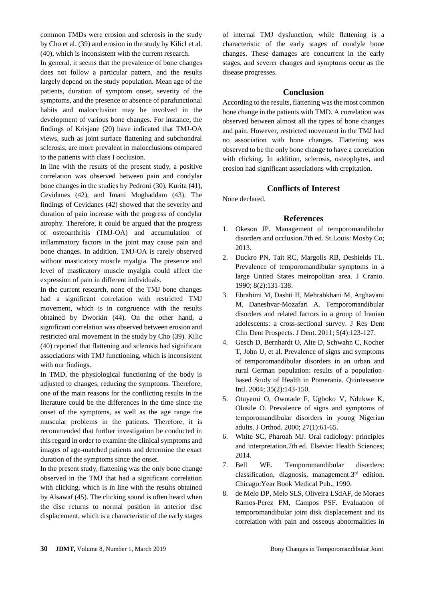common TMDs were erosion and sclerosis in the study by Cho et al. [\(39\)](file:///C:/Users/fouladif1/Desktop/اصلاح%20شده%203%20آذر%20%20.docx%23_ENREF_39) and erosion in the study by Kilicl et al. [\(40\)](file:///C:/Users/fouladif1/Desktop/اصلاح%20شده%203%20آذر%20%20.docx%23_ENREF_40), which is inconsistent with the current research.

In general, it seems that the prevalence of bone changes does not follow a particular pattern, and the results largely depend on the study population. Mean age of the patients, duration of symptom onset, severity of the symptoms, and the presence or absence of parafunctional habits and malocclusion may be involved in the development of various bone changes. For instance, the findings of Krisjane (20) have indicated that TMJ-OA views, such as joint surface flattening and subchondral sclerosis, are more prevalent in malocclusions compared to the patients with class I occlusion.

In line with the results of the present study, a positive correlation was observed between pain and condylar bone changes in the studies by Pedroni [\(30\)](file:///C:/Users/fouladif1/Desktop/اصلاح%20شده%203%20آذر%20%20.docx%23_ENREF_30), Kurita [\(41\)](file:///C:/Users/fouladif1/Desktop/اصلاح%20شده%203%20آذر%20%20.docx%23_ENREF_41), Cevidanes (42), and Imani Moghaddam (43). The findings of Cevidanes (42) showed that the severity and duration of pain increase with the progress of condylar atrophy. Therefore, it could be argued that the progress of osteoarthritis (TMJ-OA) and accumulation of inflammatory factors in the joint may cause pain and bone changes. In addition, TMJ-OA is rarely observed without masticatory muscle myalgia. The presence and level of masticatory muscle myalgia could affect the expression of pain in different individuals.

In the current research, none of the TMJ bone changes had a significant correlation with restricted TMJ movement, which is in congruence with the results obtained by Dworkin [\(44\)](file:///C:/Users/fouladif1/Desktop/اصلاح%20شده%203%20آذر%20%20.docx%23_ENREF_43). On the other hand, a significant correlation was observed between erosion and restricted oral movement in the study by Cho [\(39\)](file:///C:/Users/fouladif1/Desktop/اصلاح%20شده%203%20آذر%20%20.docx%23_ENREF_39). Kilic [\(40\)](file:///C:/Users/fouladif1/Desktop/اصلاح%20شده%203%20آذر%20%20.docx%23_ENREF_40) reported that flattening and sclerosis had significant associations with TMJ functioning, which is inconsistent with our findings.

In TMD, the physiological functioning of the body is adjusted to changes, reducing the symptoms. Therefore, one of the main reasons for the conflicting results in the literature could be the differences in the time since the onset of the symptoms, as well as the age range the muscular problems in the patients. Therefore, it is recommended that further investigation be conducted in this regard in order to examine the clinical symptoms and images of age-matched patients and determine the exact duration of the symptoms since the onset.

In the present study, flattening was the only bone change observed in the TMJ that had a significant correlation with clicking, which is in line with the results obtained by Alsawaf (45). The clicking sound is often heard when the disc returns to normal position in anterior disc displacement, which is a characteristic of the early stages

of internal TMJ dysfunction, while flattening is a characteristic of the early stages of condyle bone changes. These damages are concurrent in the early stages, and severer changes and symptoms occur as the disease progresses.

## **Conclusion**

According to the results, flattening was the most common bone change in the patients with TMD. A correlation was observed between almost all the types of bone changes and pain. However, restricted movement in the TMJ had no association with bone changes. Flattening was observed to be the only bone change to have a correlation with clicking. In addition, sclerosis, osteophytes, and erosion had significant associations with crepitation.

## **Conflicts of Interest**

None declared.

## **References**

- 1. Okeson JP. Management of temporomandibular disorders and occlusion.7th ed. St.Louis: Mosby Co; 2013.
- 2. Duckro PN, Tait RC, Margolis RB, Deshields TL. Prevalence of temporomandibular symptoms in a large United States metropolitan area. J Cranio. 1990; 8(2):131-138.
- 3. Ebrahimi M, Dashti H, Mehrabkhani M, Arghavani M, Daneshvar-Mozafari A. Temporomandibular disorders and related factors in a group of Iranian adolescents: a cross-sectional survey. J Res Dent Clin Dent Prospects. J Dent. 2011; 5(4):123-127.
- 4. Gesch D, Bernhardt O, Alte D, Schwahn C, Kocher T, John U, et al. Prevalence of signs and symptoms of temporomandibular disorders in an urban and rural German population: results of a populationbased Study of Health in Pomerania. Quintessence Intl. 2004; 35(2):143-150.
- 5. Otuyemi O, Owotade F, Ugboko V, Ndukwe K, Olusile O. Prevalence of signs and symptoms of temporomandibular disorders in young Nigerian adults[. J Orthod.](https://www.ncbi.nlm.nih.gov/pubmed/?term=Prevalence+of+signs+and+symptoms+of+temporomandibular+disorders+in+young+Nigerian+adults) 2000; 27(1):61-65.
- 6. White SC, Pharoah MJ. Oral radiology: principles and interpretation.7th ed. Elsevier Health Sciences; 2014.
- 7. Bell WE. Temporomandibular disorders: classification, diagnosis, management.3rd edition. Chicago:Year Book Medical Pub., 1990.
- 8. de Melo DP, Melo SLS, Oliveira LSdAF, de Moraes Ramos-Perez FM, Campos PSF. Evaluation of temporomandibular joint disk displacement and its correlation with pain and osseous abnormalities in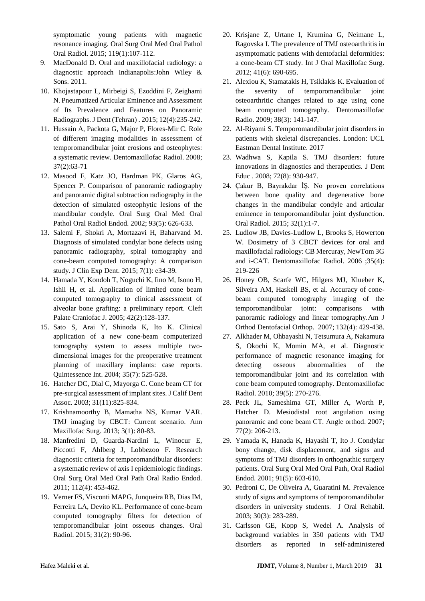symptomatic young patients with magnetic resonance imaging. Oral Surg Oral Med Oral Pathol Oral Radiol. 2015; 119(1):107-112.

- 9. MacDonald D. Oral and maxillofacial radiology: a diagnostic approach Indianapolis:John Wiley & Sons. 2011.
- 10. Khojastapour L, Mirbeigi S, Ezoddini F, Zeighami N. Pneumatized Articular Eminence and Assessment of Its Prevalence and Features on Panoramic Radiographs. [J Dent \(Tehran\)](https://www.ncbi.nlm.nih.gov/pubmed/?term=Pneumatized+Articular+Eminence+and+Assessment+of+Its+Prevalence+and+Features+on+Panoramic+Radiographs) . 2015; 12(4):235-242.
- 11. Hussain A, Packota G, Major P, Flores-Mir C. Role of different imaging modalities in assessment of temporomandibular joint erosions and osteophytes: a systematic review. [Dentomaxillofac Radiol.](https://www.ncbi.nlm.nih.gov/pubmed/?term=Role+of+different+imaging+modalities+in+assessment+of+temporomandibular+joint+erosions+and+osteophytes%3A+a+systematic+review) 2008; 37(2):63-71
- 12. Masood F, Katz JO, Hardman PK, Glaros AG, Spencer P. Comparison of panoramic radiography and panoramic digital subtraction radiography in the detection of simulated osteophytic lesions of the mandibular condyle. [Oral Surg Oral Med Oral](https://www.ncbi.nlm.nih.gov/pubmed/?term=Comparison+of+panoramic+radiography+and+panoramic+digital+subtraction+radiography+in+the+detection+of+simulated+osteophytic+lesions+of+the+mandibular+condyle)  [Pathol Oral Radiol Endod.](https://www.ncbi.nlm.nih.gov/pubmed/?term=Comparison+of+panoramic+radiography+and+panoramic+digital+subtraction+radiography+in+the+detection+of+simulated+osteophytic+lesions+of+the+mandibular+condyle) 2002; 93(5): 626-633.
- 13. Salemi F, Shokri A, Mortazavi H, Baharvand M. Diagnosis of simulated condylar bone defects using panoramic radiography, spiral tomography and cone-beam computed tomography: A comparison study. J Clin Exp Dent. 2015; 7(1): e34-39.
- 14. Hamada Y, Kondoh T, Noguchi K, Iino M, Isono H, Ishii H, et al. Application of limited cone beam computed tomography to clinical assessment of alveolar bone grafting: a preliminary report. [Cleft](https://www.ncbi.nlm.nih.gov/pubmed/?term=Application+of+limited+cone+beam+computed+tomography+to+clinical+assessment+of+alveolar+bone+grafting%3A+a+preliminary+report.+The+Cleft+palate-craniofacial+journa)  [Palate Craniofac J.](https://www.ncbi.nlm.nih.gov/pubmed/?term=Application+of+limited+cone+beam+computed+tomography+to+clinical+assessment+of+alveolar+bone+grafting%3A+a+preliminary+report.+The+Cleft+palate-craniofacial+journa) 2005; 42(2):128-137.
- 15. Sato S, Arai Y, Shinoda K, Ito K. Clinical application of a new cone-beam computerized tomography system to assess multiple twodimensional images for the preoperative treatment planning of maxillary implants: case reports. Quintessence Int. 2004; 35(7): 525-528.
- 16. Hatcher DC, Dial C, Mayorga C. Cone beam CT for pre-surgical assessment of implant sites. [J Calif Dent](https://www.ncbi.nlm.nih.gov/pubmed/?term=Cone+beam+CT+for+pre-surgical+assessment+of+implant+sites)  [Assoc.](https://www.ncbi.nlm.nih.gov/pubmed/?term=Cone+beam+CT+for+pre-surgical+assessment+of+implant+sites) 2003; 31(11):825-834.
- 17. Krishnamoorthy B, Mamatha NS, Kumar VAR. TMJ imaging by CBCT: Current scenario. [Ann](https://www.ncbi.nlm.nih.gov/pubmed/?term=TMJ+imaging+by+CBCT%3A+Current+scenario.)  [Maxillofac Surg.](https://www.ncbi.nlm.nih.gov/pubmed/?term=TMJ+imaging+by+CBCT%3A+Current+scenario.) 2013; 3(1): 80-83.
- 18. Manfredini D, Guarda-Nardini L, Winocur E, Piccotti F, Ahlberg J, Lobbezoo F. Research diagnostic criteria for temporomandibular disorders: a systematic review of axis I epidemiologic findings. Oral Surg Oral Med Oral Path Oral Radio Endod. 2011; 112(4): 453-462.
- 19. Verner FS, Visconti MAPG, Junqueira RB, Dias IM, Ferreira LA, Devito KL. Performance of cone-beam computed tomography filters for detection of temporomandibular joint osseous changes. Oral Radiol. 2015; 31(2): 90-96.
- 20. Krisjane Z, Urtane I, Krumina G, Neimane L, Ragovska I. The prevalence of TMJ osteoarthritis in asymptomatic patients with dentofacial deformities: a cone-beam CT study. [Int J Oral Maxillofac Surg.](https://www.ncbi.nlm.nih.gov/pubmed/?term=The+prevalence+of+TMJ+osteoarthritis+in+asymptomatic+patients+with+dentofacial+deformities%3A+a+cone-beam+CT+study.) 2012; 41(6): 690-695.
- 21. Alexiou K, Stamatakis H, Tsiklakis K. Evaluation of the severity of temporomandibular joint osteoarthritic changes related to age using cone beam computed tomography. Dentomaxillofac Radio. 2009; 38(3): 141-147.
- 22. Al-Riyami S. Temporomandibular joint disorders in patients with skeletal discrepancies. London: UCL Eastman Dental Institute. 2017
- 23. Wadhwa S, Kapila S. TMJ disorders: future innovations in diagnostics and therapeutics. [J Dent](https://www.ncbi.nlm.nih.gov/pubmed/?term=TMJ+disorders%3A+future+innovations+in+diagnostics+and+therapeutics.)  [Educ](https://www.ncbi.nlm.nih.gov/pubmed/?term=TMJ+disorders%3A+future+innovations+in+diagnostics+and+therapeutics.) . 2008; 72(8): 930-947.
- 24. Çakur B, Bayrakdar İŞ. No proven correlations between bone quality and degenerative bone changes in the mandibular condyle and articular eminence in temporomandibular joint dysfunction. Oral Radiol. 2015; 32(1):1-7.
- 25. Ludlow JB, Davies-Ludlow L, Brooks S, Howerton W. Dosimetry of 3 CBCT devices for oral and maxillofacial radiology: CB Mercuray, NewTom 3G and i-CAT. [Dentomaxillofac Radiol.](https://www.ncbi.nlm.nih.gov/pubmed/?term=Dosimetry+of+3+CBCT+devices+for+oral+and+maxillofacial+radiology%3A+CB+Mercuray%2C+NewTom+3G+and+i-CAT) 2006 ;35(4): 219-226
- 26. Honey OB, Scarfe WC, Hilgers MJ, Klueber K, Silveira AM, Haskell BS, et al. Accuracy of conebeam computed tomography imaging of the temporomandibular joint: comparisons with panoramic radiology and linear tomography[.Am J](https://www.ncbi.nlm.nih.gov/pubmed/?term=Accuracy+of+cone-beam+computed+tomography+imaging+of+the+temporomandibular+joint%3A+comparisons+with+panoramic+radiology+and+linear+tomography)  [Orthod Dentofacial Orthop.](https://www.ncbi.nlm.nih.gov/pubmed/?term=Accuracy+of+cone-beam+computed+tomography+imaging+of+the+temporomandibular+joint%3A+comparisons+with+panoramic+radiology+and+linear+tomography) 2007; 132(4): 429-438.
- 27. Alkhader M, Ohbayashi N, Tetsumura A, Nakamura S, Okochi K, Momin MA, et al. Diagnostic performance of magnetic resonance imaging for detecting osseous abnormalities of the temporomandibular joint and its correlation with cone beam computed tomography. Dentomaxillofac Radiol. 2010; 39(5): 270-276.
- 28. Peck JL, Sameshima GT, Miller A, Worth P, Hatcher D. Mesiodistal root angulation using panoramic and cone beam CT. Angle orthod. 2007; 77(2): 206-213.
- 29. Yamada K, Hanada K, Hayashi T, Ito J. Condylar bony change, disk displacement, and signs and symptoms of TMJ disorders in orthognathic surgery patients. Oral Surg Oral Med Oral Path, Oral Radiol Endod. 2001; 91(5): 603-610.
- 30. Pedroni C, De Oliveira A, Guaratini M. Prevalence study of signs and symptoms of temporomandibular disorders in university students. J Oral Rehabil. 2003; 30(3): 283-289.
- 31. Carlsson GE, Kopp S, Wedel A. Analysis of background variables in 350 patients with TMJ disorders as reported in self‐administered